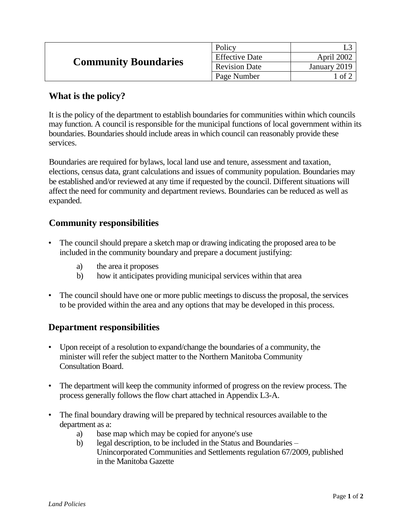| <b>Community Boundaries</b> | Policy                |              |
|-----------------------------|-----------------------|--------------|
|                             | <b>Effective Date</b> | April 2002   |
|                             | <b>Revision Date</b>  | January 2019 |
|                             | Page Number           | ∣ of 2       |

## **What is the policy?**

It is the policy of the department to establish boundaries for communities within which councils may function. A council is responsible for the municipal functions of local government within its boundaries. Boundaries should include areas in which council can reasonably provide these services.

Boundaries are required for bylaws, local land use and tenure, assessment and taxation, elections, census data, grant calculations and issues of community population. Boundaries may be established and/or reviewed at any time if requested by the council. Different situations will affect the need for community and department reviews. Boundaries can be reduced as well as expanded.

## **Community responsibilities**

- The council should prepare a sketch map or drawing indicating the proposed area to be included in the community boundary and prepare a document justifying:
	- a) the area it proposes
	- b) how it anticipates providing municipal services within that area
- The council should have one or more public meetings to discuss the proposal, the services to be provided within the area and any options that may be developed in this process.

## **Department responsibilities**

- Upon receipt of a resolution to expand/change the boundaries of a community, the minister will refer the subject matter to the Northern Manitoba Community Consultation Board.
- The department will keep the community informed of progress on the review process. The process generally follows the flow chart attached in Appendix L3-A.
- The final boundary drawing will be prepared by technical resources available to the department as a:
	- a) base map which may be copied for anyone's use
	- b) legal description, to be included in the Status and Boundaries Unincorporated Communities and Settlements regulation 67/2009*,* published in the Manitoba Gazette